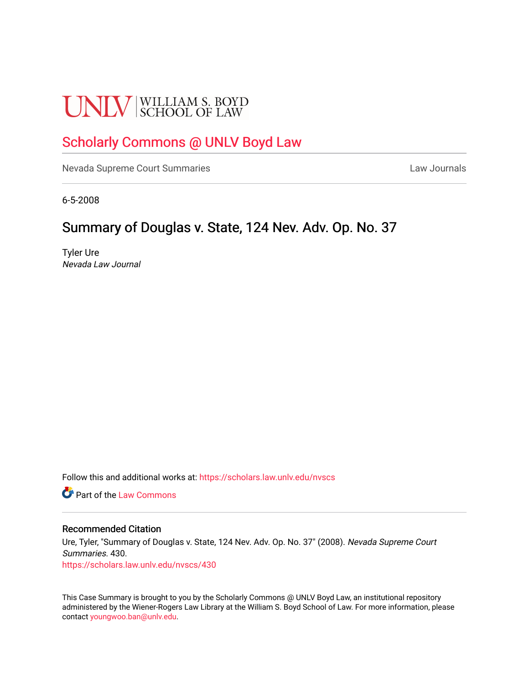# **UNLV** SCHOOL OF LAW

## [Scholarly Commons @ UNLV Boyd Law](https://scholars.law.unlv.edu/)

[Nevada Supreme Court Summaries](https://scholars.law.unlv.edu/nvscs) **Law Journals** Law Journals

6-5-2008

### Summary of Douglas v. State, 124 Nev. Adv. Op. No. 37

Tyler Ure Nevada Law Journal

Follow this and additional works at: [https://scholars.law.unlv.edu/nvscs](https://scholars.law.unlv.edu/nvscs?utm_source=scholars.law.unlv.edu%2Fnvscs%2F430&utm_medium=PDF&utm_campaign=PDFCoverPages)

**C** Part of the [Law Commons](http://network.bepress.com/hgg/discipline/578?utm_source=scholars.law.unlv.edu%2Fnvscs%2F430&utm_medium=PDF&utm_campaign=PDFCoverPages)

#### Recommended Citation

Ure, Tyler, "Summary of Douglas v. State, 124 Nev. Adv. Op. No. 37" (2008). Nevada Supreme Court Summaries. 430. [https://scholars.law.unlv.edu/nvscs/430](https://scholars.law.unlv.edu/nvscs/430?utm_source=scholars.law.unlv.edu%2Fnvscs%2F430&utm_medium=PDF&utm_campaign=PDFCoverPages)

This Case Summary is brought to you by the Scholarly Commons @ UNLV Boyd Law, an institutional repository administered by the Wiener-Rogers Law Library at the William S. Boyd School of Law. For more information, please contact [youngwoo.ban@unlv.edu](mailto:youngwoo.ban@unlv.edu).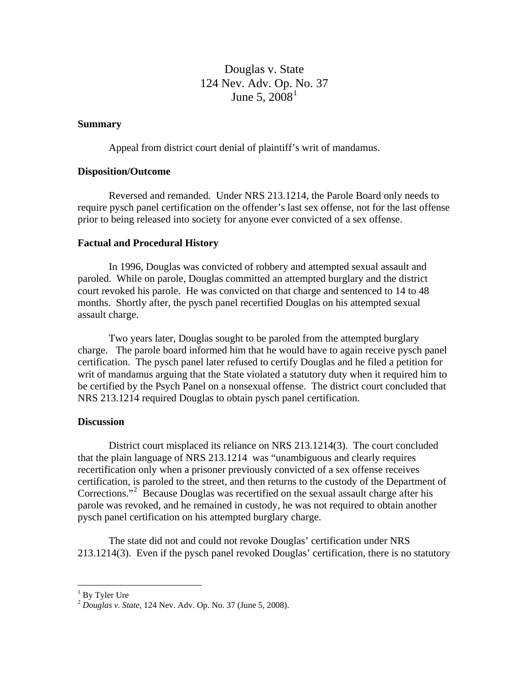Douglas v. State 124 Nev. Adv. Op. [N](#page-1-0)o. 37 June 5,  $2008^1$  $2008^1$ 

#### **Summary**

Appeal from district court denial of plaintiff's writ of mandamus.

#### **Disposition/Outcome**

 Reversed and remanded. Under NRS 213.1214, the Parole Board only needs to require pysch panel certification on the offender's last sex offense, not for the last offense prior to being released into society for anyone ever convicted of a sex offense.

#### **Factual and Procedural History**

In 1996, Douglas was convicted of robbery and attempted sexual assault and paroled. While on parole, Douglas committed an attempted burglary and the district court revoked his parole. He was convicted on that charge and sentenced to 14 to 48 months. Shortly after, the pysch panel recertified Douglas on his attempted sexual assault charge.

 Two years later, Douglas sought to be paroled from the attempted burglary charge. The parole board informed him that he would have to again receive pysch panel certification. The pysch panel later refused to certify Douglas and he filed a petition for writ of mandamus arguing that the State violated a statutory duty when it required him to be certified by the Psych Panel on a nonsexual offense. The district court concluded that NRS 213.1214 required Douglas to obtain pysch panel certification.

#### **Discussion**

District court misplaced its reliance on NRS 213.1214(3). The court concluded that the plain language of NRS 213.1214 was "unambiguous and clearly requires recertification only when a prisoner previously convicted of a sex offense receives certification, is paroled to the street, and then returns to the custody of the Department of Corrections."<sup>[2](#page-1-1)</sup> Because Douglas was recertified on the sexual assault charge after his parole was revoked, and he remained in custody, he was not required to obtain another pysch panel certification on his attempted burglary charge.

 The state did not and could not revoke Douglas' certification under NRS 213.1214(3). Even if the pysch panel revoked Douglas' certification, there is no statutory

1

<sup>&</sup>lt;sup>1</sup> By Tyler Ure

<span id="page-1-1"></span><span id="page-1-0"></span><sup>2</sup> *Douglas v. State*, 124 Nev. Adv. Op. No. 37 (June 5, 2008).